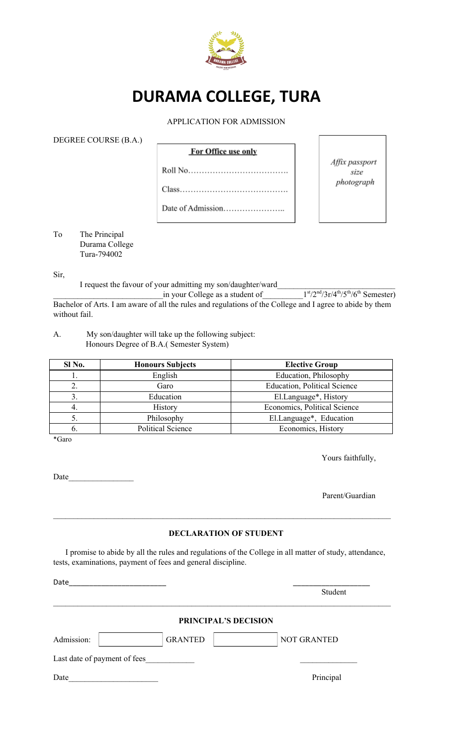

# **DURAMA COLLEGE, TURA**

#### APPLICATION FOR ADMISSION

DEGREE COURSE (B.A.)

| <b>For Office use only</b> |
|----------------------------|
|                            |
|                            |
|                            |

Affix passport size photograph

To The Principal Durama College Tura-794002

Sir,

I request the favour of your admitting my son/daughter/ward

\_\_\_\_\_\_\_\_\_\_\_\_\_\_\_\_\_\_\_\_\_\_\_\_\_\_\_in your College as a student of\_\_\_\_\_\_\_\_\_\_1  $\frac{\text{st}}{2^{\text{nd}}}\frac{3r}{4^{\text{th}}}/5^{\text{th}}/6^{\text{th}}$  Semester) Bachelor of Arts. I am aware of all the rules and regulations of the College and I agree to abide by them without fail.

A. My son/daughter will take up the following subject: Honours Degree of B.A.( Semester System)

| Sl No. | <b>Honours Subjects</b>  | <b>Elective Group</b>               |
|--------|--------------------------|-------------------------------------|
|        | English                  | Education, Philosophy               |
|        | Garo                     | <b>Education, Political Science</b> |
|        | Education                | El.Language*, History               |
| 4.     | History                  | Economics, Political Science        |
|        | Philosophy               | El.Language*, Education             |
|        | <b>Political Science</b> | Economics, History                  |

\*Garo

Yours faithfully,

Date\_\_\_\_\_\_\_\_\_\_\_\_\_\_\_\_

Parent/Guardian

#### **DECLARATION OF STUDENT**

 $\mathcal{L}_\mathcal{L} = \{ \mathcal{L}_\mathcal{L} = \{ \mathcal{L}_\mathcal{L} = \{ \mathcal{L}_\mathcal{L} = \{ \mathcal{L}_\mathcal{L} = \{ \mathcal{L}_\mathcal{L} = \{ \mathcal{L}_\mathcal{L} = \{ \mathcal{L}_\mathcal{L} = \{ \mathcal{L}_\mathcal{L} = \{ \mathcal{L}_\mathcal{L} = \{ \mathcal{L}_\mathcal{L} = \{ \mathcal{L}_\mathcal{L} = \{ \mathcal{L}_\mathcal{L} = \{ \mathcal{L}_\mathcal{L} = \{ \mathcal{L}_\mathcal{$ 

I promise to abide by all the rules and regulations of the College in all matter of study, attendance, tests, examinations, payment of fees and general discipline.

| Date                         |                |                      | Student            |  |
|------------------------------|----------------|----------------------|--------------------|--|
|                              |                | PRINCIPAL'S DECISION |                    |  |
| Admission:                   | <b>GRANTED</b> |                      | <b>NOT GRANTED</b> |  |
| Last date of payment of fees |                |                      |                    |  |
| Date                         |                |                      | Principal          |  |